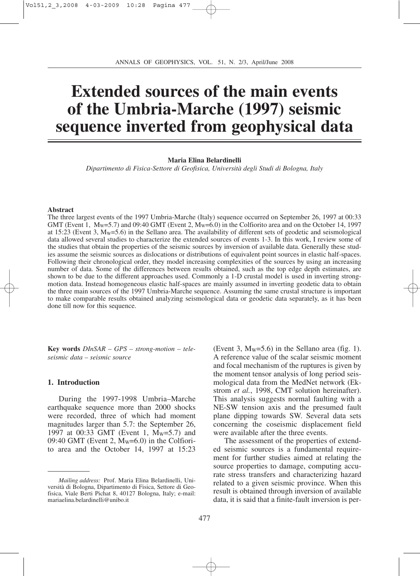# **Extended sources of the main events of the Umbria-Marche (1997) seismic sequence inverted from geophysical data**

## **Maria Elina Belardinelli**

*Dipartimento di Fisica-Settore di Geofisica, Università degli Studi di Bologna, Italy*

#### **Abstract**

The three largest events of the 1997 Umbria-Marche (Italy) sequence occurred on September 26, 1997 at 00:33 GMT (Event 1,  $M_W = 5.7$ ) and 09:40 GMT (Event 2,  $M_W = 6.0$ ) in the Colfiorito area and on the October 14, 1997 at 15:23 (Event 3,  $M_w = 5.6$ ) in the Sellano area. The availability of different sets of geodetic and seismological data allowed several studies to characterize the extended sources of events 1-3. In this work, I review some of the studies that obtain the properties of the seismic sources by inversion of available data. Generally these studies assume the seismic sources as dislocations or distributions of equivalent point sources in elastic half-spaces. Following their chronological order, they model increasing complexities of the sources by using an increasing number of data. Some of the differences between results obtained, such as the top edge depth estimates, are shown to be due to the different approaches used. Commonly a 1-D crustal model is used in inverting strongmotion data. Instead homogeneous elastic half-spaces are mainly assumed in inverting geodetic data to obtain the three main sources of the 1997 Umbria-Marche sequence. Assuming the same crustal structure is important to make comparable results obtained analyzing seismological data or geodetic data separately, as it has been done till now for this sequence.

**Key words** *DInSAR – GPS – strong-motion – teleseismic data – seismic source*

## **1. Introduction**

During the 1997-1998 Umbria–Marche earthquake sequence more than 2000 shocks were recorded, three of which had moment magnitudes larger than 5.7: the September 26, 1997 at 00:33 GMT (Event 1, M<sub>W</sub>=5.7) and  $09:40$  GMT (Event 2, M<sub>w</sub>=6.0) in the Colfiorito area and the October 14, 1997 at 15:23

(Event 3,  $M_W = 5.6$ ) in the Sellano area (fig. 1). A reference value of the scalar seismic moment and focal mechanism of the ruptures is given by the moment tensor analysis of long period seismological data from the MedNet network (Ekstrom *et al.*, 1998, CMT solution hereinafter). This analysis suggests normal faulting with a NE-SW tension axis and the presumed fault plane dipping towards SW. Several data sets concerning the coseismic displacement field were available after the three events.

The assessment of the properties of extended seismic sources is a fundamental requirement for further studies aimed at relating the source properties to damage, computing accurate stress transfers and characterizing hazard related to a given seismic province. When this result is obtained through inversion of available data, it is said that a finite-fault inversion is per-

*Mailing address:* Prof. Maria Elina Belardinelli, Università di Bologna, Dipartimento di Fisica, Settore di Geofisica, Viale Berti Pichat 8, 40127 Bologna, Italy; e-mail: mariaelina.belardinelli@unibo.it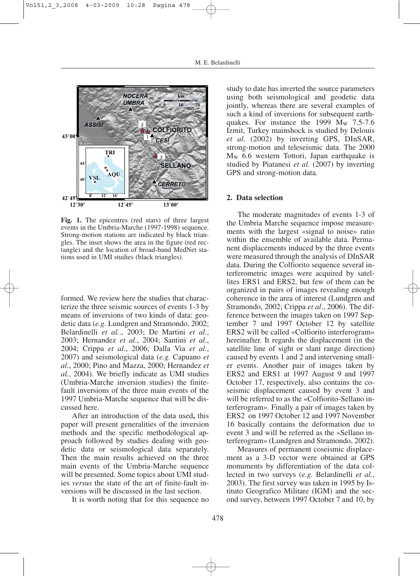

**Fig. 1.** The epicentres (red stars) of three largest events in the Umbria-Marche (1997-1998) sequence. Strong-motion stations are indicated by black triangles. The inset shows the area in the figure (red rectangle) and the location of broad-band MedNet stations used in UMI studies (black triangles).

formed. We review here the studies that characterize the three seismic sources of events 1-3 by means of inversions of two kinds of data: geodetic data (*e.g.* Lundgren and Stramondo, 2002; Belardinelli *et al.*., 2003; De Martini *et al.*, 2003; Hernandez *et al*., 2004; Santini *et al*., 2004; Crippa *et al*., 2006; Dalla Via *et al.*, 2007) and seismological data (*e.g.* Capuano *et al*., 2000; Pino and Mazza, 2000; Hernandez *et al.*, 2004). We briefly indicate as UMI studies (Umbria-Marche inversion studies) the finitefault inversions of the three main events of the 1997 Umbria-Marche sequence that will be discussed here.

After an introduction of the data used**,** this paper will present generalities of the inversion methods and the specific methodological approach followed by studies dealing with geodetic data or seismological data separately. Then the main results achieved on the three main events of the Umbria-Marche sequence will be presented. Some topics about UMI studies *versus* the state of the art of finite-fault inversions will be discussed in the last section.

It is worth noting that for this sequence no

study to date has inverted the source parameters using both seismological and geodetic data jointly, whereas there are several examples of such a kind of inversions for subsequent earthquakes. For instance the 1999  $M_w$  7.5-7.6 Izmit, Turkey mainshock is studied by Delouis *et al.* (2002) by inverting GPS, DInSAR, strong-motion and teleseismic data. The 2000 MW 6.6 western Tottori, Japan earthquake is studied by Piatanesi *et al.* (2007) by inverting GPS and strong-motion data.

### **2. Data selection**

The moderate magnitudes of events 1-3 of the Umbria Marche sequence impose measurements with the largest «signal to noise» ratio within the ensemble of available data. Permanent displacements induced by the three events were measured through the analysis of DInSAR data. During the Colfiorito sequence several interferometric images were acquired by satellites ERS1 and ERS2, but few of them can be organized in pairs of images revealing enough coherence in the area of interest (Lundgren and Stramondo, 2002; Crippa *et al*., 2006). The difference between the images taken on 1997 September 7 and 1997 October 12 by satellite ERS2 will be called «Colfiorito interferogram» hereinafter. It regards the displacement (in the satellite line of sight or slant range direction) caused by events 1 and 2 and intervening smaller events. Another pair of images taken by ERS2 and ERS1 at 1997 August 9 and 1997 October 17, respectively, also contains the coseismic displacement caused by event 3 and will be referred to as the «Colfiorito-Sellano interferogram». Finally a pair of images taken by ERS2 on 1997 October 12 and 1997 November 16 basically contains the deformation due to event 3 and will be referred as the «Sellano interferogram» (Lundgren and Stramondo, 2002).

Measures of permanent coseismic displacement as a 3-D vector were obtained at GPS monuments by differentiation of the data collected in two surveys (*e.g.* Belardinelli *et al.*, 2003). The first survey was taken in 1995 by Istituto Geografico Militare (IGM) and the second survey, between 1997 October 7 and 10, by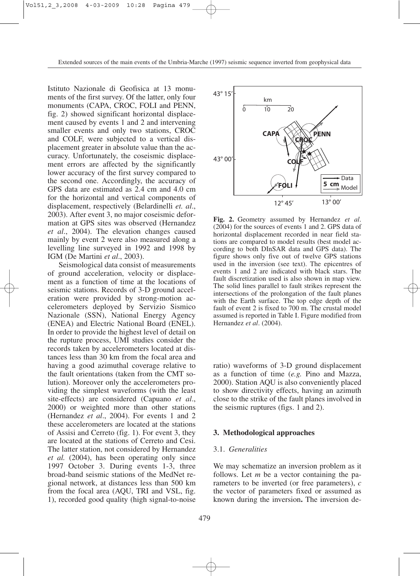Istituto Nazionale di Geofisica at 13 monuments of the first survey. Of the latter, only four monuments (CAPA, CROC, FOLI and PENN, fig. 2) showed significant horizontal displacement caused by events 1 and 2 and intervening smaller events and only two stations, CROC and COLF, were subjected to a vertical displacement greater in absolute value than the accuracy. Unfortunately, the coseismic displacement errors are affected by the significantly lower accuracy of the first survey compared to the second one. Accordingly, the accuracy of GPS data are estimated as 2.4 cm and 4.0 cm for the horizontal and vertical components of displacement, respectively (Belardinelli *et. al*., 2003). After event 3, no major coseismic deformation at GPS sites was observed (Hernandez *et al*., 2004). The elevation changes caused mainly by event 2 were also measured along a levelling line surveyed in 1992 and 1998 by IGM (De Martini *et al*., 2003).

Seismological data consist of measurements of ground acceleration, velocity or displacement as a function of time at the locations of seismic stations. Records of 3-D ground acceleration were provided by strong-motion accelerometers deployed by Servizio Sismico Nazionale (SSN), National Energy Agency (ENEA) and Electric National Board (ENEL). In order to provide the highest level of detail on the rupture process, UMI studies consider the records taken by accelerometers located at distances less than 30 km from the focal area and having a good azimuthal coverage relative to the fault orientations (taken from the CMT solution). Moreover only the accelerometers providing the simplest waveforms (with the least site-effects) are considered (Capuano *et al*., 2000) or weighted more than other stations (Hernandez *et al*., 2004). For events 1 and 2 these accelerometers are located at the stations of Assisi and Cerreto (fig. 1). For event 3, they are located at the stations of Cerreto and Cesi. The latter station, not considered by Hernandez *et al.* (2004), has been operating only since 1997 October 3. During events 1-3, three broad-band seismic stations of the MedNet regional network, at distances less than 500 km from the focal area (AQU, TRI and VSL, fig. 1), recorded good quality (high signal-to-noise



**Fig. 2.** Geometry assumed by Hernandez *et al*. (2004) for the sources of events 1 and 2. GPS data of horizontal displacement recorded in near field stations are compared to model results (best model according to both DInSAR data and GPS data). The figure shows only five out of twelve GPS stations used in the inversion (see text). The epicentres of events 1 and 2 are indicated with black stars. The fault discretization used is also shown in map view. The solid lines parallel to fault strikes represent the intersections of the prolongation of the fault planes with the Earth surface. The top edge depth of the fault of event 2 is fixed to 700 m. The crustal model assumed is reported in Table I. Figure modified from Hernandez *et al*. (2004).

ratio) waveforms of 3-D ground displacement as a function of time (*e.g.* Pino and Mazza, 2000). Station AQU is also conveniently placed to show directivity effects, having an azimuth close to the strike of the fault planes involved in the seismic ruptures (figs. 1 and 2).

## **3. Methodological approaches**

## 3.1. *Generalities*

We may schematize an inversion problem as it follows. Let *m* be a vector containing the parameters to be inverted (or free parameters), *c* the vector of parameters fixed or assumed as known during the inversion**.** The inversion de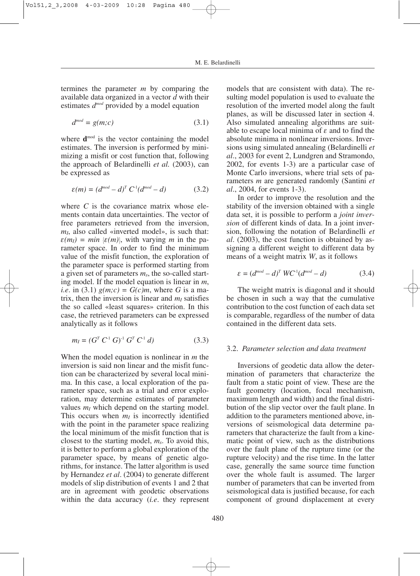termines the parameter *m* by comparing the available data organized in a vector *d* with their estimates  $d^{mod}$  provided by a model equation

$$
d^{mod} = g(m;c) \tag{3.1}
$$

where  $\mathbf{d}^{\text{mod}}$  is the vector containing the model estimates. The inversion is performed by minimizing a misfit or cost function that, following the approach of Belardinelli *et al.* (2003), can be expressed as

$$
\varepsilon(m) = (d^{mod} - d)^T C^1 (d^{mod} - d) \tag{3.2}
$$

where *C* is the covariance matrix whose elements contain data uncertainties. The vector of free parameters retrieved from the inversion, *m<sub>I</sub>*, also called «inverted model», is such that:  $\varepsilon(m_l) = min \{\varepsilon(m)\}\$ , with varying *m* in the parameter space. In order to find the minimum value of the misfit function, the exploration of the parameter space is performed starting from a given set of parameters *ms*, the so-called starting model. If the model equation is linear in *m*, *i.e.* in (3.1)  $g(m;c) = G(c)m$ , where G is a matrix, then the inversion is linear and  $m<sub>I</sub>$  satisfies the so called «least squares» criterion. In this case, the retrieved parameters can be expressed analytically as it follows

$$
m_I = (G^T C^1 G)^1 G^T C^1 d) \tag{3.3}
$$

When the model equation is nonlinear in *m* the inversion is said non linear and the misfit function can be characterized by several local minima. In this case, a local exploration of the parameter space, such as a trial and error exploration, may determine estimates of parameter values  $m_l$  which depend on the starting model. This occurs when  $m<sub>I</sub>$  is incorrectly identified with the point in the parameter space realizing the local minimum of the misfit function that is closest to the starting model, *ms*. To avoid this, it is better to perform a global exploration of the parameter space, by means of genetic algorithms, for instance. The latter algorithm is used by Hernandez *et al*. (2004) to generate different models of slip distribution of events 1 and 2 that are in agreement with geodetic observations within the data accuracy (*i.e*. they represent

models that are consistent with data). The resulting model population is used to evaluate the resolution of the inverted model along the fault planes, as will be discussed later in section 4. Also simulated annealing algorithms are suitable to escape local minima of  $\varepsilon$  and to find the absolute minima in nonlinear inversions. Inversions using simulated annealing (Belardinelli *et al*., 2003 for event 2, Lundgren and Stramondo, 2002, for events 1-3) are a particular case of Monte Carlo inversions, where trial sets of parameters *m* are generated randomly (Santini *et al*., 2004, for events 1-3).

In order to improve the resolution and the stability of the inversion obtained with a single data set, it is possible to perform a *joint inversion* of different kinds of data. In a joint inversion, following the notation of Belardinelli *et al*. (2003), the cost function is obtained by assigning a different weight to different data by means of a weight matrix *W*, as it follows

$$
\varepsilon = (d^{mod} - d)^T WC^{-1}(d^{mod} - d)
$$
 (3.4)

The weight matrix is diagonal and it should be chosen in such a way that the cumulative contribution to the cost function of each data set is comparable, regardless of the number of data contained in the different data sets.

## 3.2. *Parameter selection and data treatment*

Inversions of geodetic data allow the determination of parameters that characterize the fault from a static point of view. These are the fault geometry (location, focal mechanism, maximum length and width) and the final distribution of the slip vector over the fault plane. In addition to the parameters mentioned above, inversions of seismological data determine parameters that characterize the fault from a kinematic point of view, such as the distributions over the fault plane of the rupture time (or the rupture velocity) and the rise time. In the latter case, generally the same source time function over the whole fault is assumed. The larger number of parameters that can be inverted from seismological data is justified because, for each component of ground displacement at every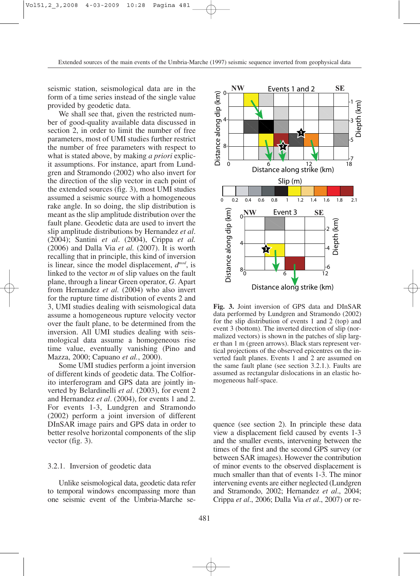Extended sources of the main events of the Umbria-Marche (1997) seismic sequence inverted from geophysical data

seismic station, seismological data are in the form of a time series instead of the single value provided by geodetic data.

We shall see that, given the restricted number of good-quality available data discussed in section 2, in order to limit the number of free parameters, most of UMI studies further restrict the number of free parameters with respect to what is stated above, by making *a priori* explicit assumptions. For instance, apart from Lundgren and Stramondo (2002) who also invert for the direction of the slip vector in each point of the extended sources (fig. 3), most UMI studies assumed a seismic source with a homogeneous rake angle. In so doing, the slip distribution is meant as the slip amplitude distribution over the fault plane. Geodetic data are used to invert the slip amplitude distributions by Hernandez *et al*. (2004); Santini *et al*. (2004), Crippa *et al.* (2006) and Dalla Via *et al.* (2007). It is worth recalling that in principle, this kind of inversion is linear, since the model displacement, *dmod*, is linked to the vector *m* of slip values on the fault plane, through a linear Green operator, *G*. Apart from Hernandez *et al.* (2004) who also invert for the rupture time distribution of events 2 and 3, UMI studies dealing with seismological data assume a homogeneous rupture velocity vector over the fault plane, to be determined from the inversion. All UMI studies dealing with seismological data assume a homogeneous rise time value, eventually vanishing (Pino and Mazza, 2000; Capuano *et al.*, 2000).

Some UMI studies perform a joint inversion of different kinds of geodetic data. The Colfiorito interferogram and GPS data are jointly inverted by Belardinelli *et al*. (2003), for event 2 and Hernandez *et al*. (2004), for events 1 and 2. For events 1-3, Lundgren and Stramondo (2002) perform a joint inversion of different DInSAR image pairs and GPS data in order to better resolve horizontal components of the slip vector (fig. 3).

## 3.2.1. Inversion of geodetic data

Unlike seismological data, geodetic data refer to temporal windows encompassing more than one seismic event of the Umbria-Marche se-



**Fig. 3.** Joint inversion of GPS data and DInSAR data performed by Lundgren and Stramondo (2002) for the slip distribution of events 1 and 2 (top) and event 3 (bottom). The inverted direction of slip (normalized vectors) is shown in the patches of slip larger than 1 m (green arrows). Black stars represent vertical projections of the observed epicentres on the inverted fault planes. Events 1 and 2 are assumed on the same fault plane (see section 3.2.1.). Faults are assumed as rectangular dislocations in an elastic homogeneous half-space.

quence (see section 2). In principle these data view a displacement field caused by events 1-3 and the smaller events, intervening between the times of the first and the second GPS survey (or between SAR images). However the contribution of minor events to the observed displacement is much smaller than that of events 1-3. The minor intervening events are either neglected (Lundgren and Stramondo, 2002; Hernandez *et al*., 2004; Crippa *et al*., 2006; Dalla Via *et al*., 2007) or re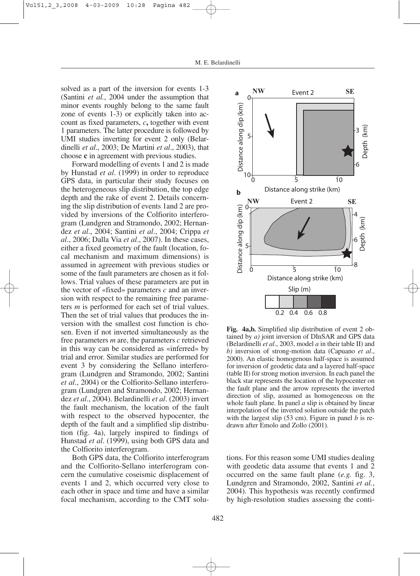solved as a part of the inversion for events 1-3 (Santini *et al.*, 2004 under the assumption that minor events roughly belong to the same fault zone of events 1-3) or explicitly taken into account as fixed parameters, *c***,** together with event 1 parameters. The latter procedure is followed by UMI studies inverting for event 2 only (Belardinelli *et al*., 2003; De Martini *et al*., 2003), that choose **c** in agreement with previous studies.

Forward modelling of events 1 and 2 is made by Hunstad *et al*. (1999) in order to reproduce GPS data, in particular their study focuses on the heterogeneous slip distribution, the top edge depth and the rake of event 2. Details concerning the slip distribution of events 1and 2 are provided by inversions of the Colfiorito interferogram (Lundgren and Stramondo, 2002; Hernandez *et al*., 2004; Santini *et al*., 2004; Crippa *et al*., 2006; Dalla Via *et al*., 2007). In these cases, either a fixed geometry of the fault (location, focal mechanism and maximum dimensions) is assumed in agreement with previous studies or some of the fault parameters are chosen as it follows. Trial values of these parameters are put in the vector of «fixed» parameters *c* and an inversion with respect to the remaining free parameters *m* is performed for each set of trial values. Then the set of trial values that produces the inversion with the smallest cost function is chosen. Even if not inverted simultaneously as the free parameters *m* are, the parameters *c* retrieved in this way can be considered as «inferred» by trial and error. Similar studies are performed for event 3 by considering the Sellano interferogram (Lundgren and Stramondo, 2002; Santini *et al*., 2004) or the Colfiorito-Sellano interferogram (Lundgren and Stramondo, 2002; Hernandez *et al*., 2004). Belardinelli *et al*. (2003) invert the fault mechanism, the location of the fault with respect to the observed hypocenter, the depth of the fault and a simplified slip distribution (fig. 4a), largely inspired to findings of Hunstad *et al*. (1999), using both GPS data and the Colfiorito interferogram.

Both GPS data, the Colfiorito interferogram and the Colfiorito-Sellano interferogram concern the cumulative coseismic displacement of events 1 and 2, which occurred very close to each other in space and time and have a similar focal mechanism, according to the CMT solu-



**Fig. 4a,b.** Simplified slip distribution of event 2 obtained by *a)* joint inversion of DInSAR and GPS data (Belardinelli *et al*., 2003, model *a* in their table II) and *b)* inversion of strong-motion data (Capuano *et al*., 2000). An elastic homogenous half-space is assumed for inversion of geodetic data and a layered half-space (table II) for strong motion inversion. In each panel the black star represents the location of the hypocenter on the fault plane and the arrow represents the inverted direction of slip, assumed as homogeneous on the whole fault plane. In panel *a* slip is obtained by linear interpolation of the inverted solution outside the patch with the largest slip (53 cm). Figure in panel *b* is redrawn after Emolo and Zollo (2001).

tions. For this reason some UMI studies dealing with geodetic data assume that events 1 and 2 occurred on the same fault plane (*e.g.* fig. 3, Lundgren and Stramondo, 2002, Santini *et al.*, 2004). This hypothesis was recently confirmed by high-resolution studies assessing the conti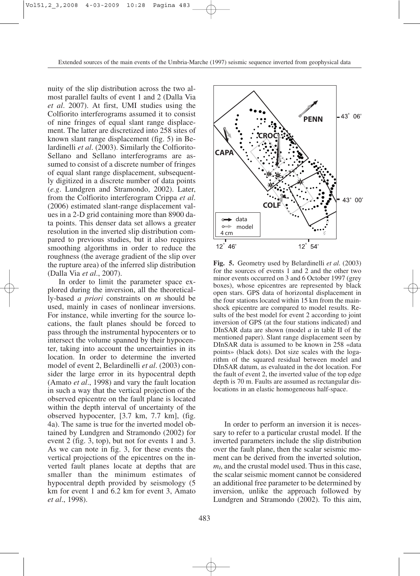nuity of the slip distribution across the two almost parallel faults of event 1 and 2 (Dalla Via *et al*. 2007). At first, UMI studies using the Colfiorito interferograms assumed it to consist of nine fringes of equal slant range displacement. The latter are discretized into 258 sites of known slant range displacement (fig. 5) in Belardinelli *et al*. (2003). Similarly the Colfiorito-Sellano and Sellano interferograms are assumed to consist of a discrete number of fringes of equal slant range displacement, subsequently digitized in a discrete number of data points (*e.g*. Lundgren and Stramondo, 2002). Later, from the Colfiorito interferogram Crippa *et al*. (2006) estimated slant-range displacement values in a 2-D grid containing more than 8900 data points. This denser data set allows a greater resolution in the inverted slip distribution compared to previous studies, but it also requires smoothing algorithms in order to reduce the roughness (the average gradient of the slip over the rupture area) of the inferred slip distribution (Dalla Via *et al*., 2007).

In order to limit the parameter space explored during the inversion, all the theoretically-based *a priori* constraints on *m* should be used, mainly in cases of nonlinear inversions. For instance, while inverting for the source locations, the fault planes should be forced to pass through the instrumental hypocenters or to intersect the volume spanned by their hypocenter, taking into account the uncertainties in its location. In order to determine the inverted model of event 2, Belardinelli *et al*. (2003) consider the large error in its hypocentral depth (Amato *et al*., 1998) and vary the fault location in such a way that the vertical projection of the observed epicentre on the fault plane is located within the depth interval of uncertainty of the observed hypocenter, [3.7 km, 7.7 km], (fig. 4a). The same is true for the inverted model obtained by Lundgren and Stramondo (2002) for event 2 (fig. 3, top), but not for events 1 and 3. As we can note in fig. 3, for these events the vertical projections of the epicentres on the inverted fault planes locate at depths that are smaller than the minimum estimates of hypocentral depth provided by seismology (5 km for event 1 and 6.2 km for event 3, Amato *et al*., 1998).



**Fig. 5.** Geometry used by Belardinelli *et al.* (2003) for the sources of events 1 and 2 and the other two minor events occurred on 3 and 6 October 1997 (grey boxes), whose epicentres are represented by black open stars. GPS data of horizontal displacement in the four stations located within 15 km from the mainshock epicentre are compared to model results. Results of the best model for event 2 according to joint inversion of GPS (at the four stations indicated) and DInSAR data are shown (model *a* in table II of the mentioned paper). Slant range displacement seen by DInSAR data is assumed to be known in 258 «data points» (black dots). Dot size scales with the logarithm of the squared residual between model and DInSAR datum, as evaluated in the dot location. For the fault of event 2, the inverted value of the top edge depth is 70 m. Faults are assumed as rectangular dislocations in an elastic homogeneous half-space.

In order to perform an inversion it is necessary to refer to a particular crustal model. If the inverted parameters include the slip distribution over the fault plane, then the scalar seismic moment can be derived from the inverted solution, *m<sub>I</sub>*, and the crustal model used. Thus in this case, the scalar seismic moment cannot be considered an additional free parameter to be determined by inversion, unlike the approach followed by Lundgren and Stramondo (2002). To this aim,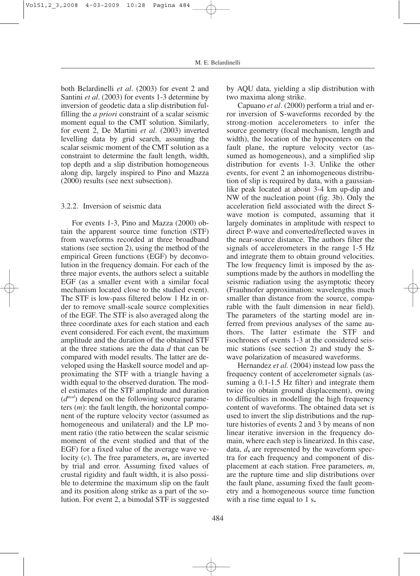both Belardinelli *et al*. (2003) for event 2 and Santini *et al*. (2003) for events 1-3 determine by inversion of geodetic data a slip distribution fulfilling the *a priori* constraint of a scalar seismic moment equal to the CMT solution. Similarly, for event 2, De Martini *et al*. (2003) inverted levelling data by grid search, assuming the scalar seismic moment of the CMT solution as a constraint to determine the fault length, width, top depth and a slip distribution homogeneous along dip, largely inspired to Pino and Mazza (2000) results (see next subsection).

## 3.2.2. Inversion of seismic data

For events 1-3, Pino and Mazza (2000) obtain the apparent source time function (STF) from waveforms recorded at three broadband stations (see section 2), using the method of the empirical Green functions (EGF) by deconvolution in the frequency domain. For each of the three major events, the authors select a suitable EGF (as a smaller event with a similar focal mechanism located close to the studied event). The STF is low-pass filtered below 1 Hz in order to remove small-scale source complexities of the EGF. The STF is also averaged along the three coordinate axes for each station and each event considered. For each event, the maximum amplitude and the duration of the obtained STF at the three stations are the data *d* that can be compared with model results. The latter are developed using the Haskell source model and approximating the STF with a triangle having a width equal to the observed duration*.* The model estimates of the STF amplitude and duration (*dmod*) depend on the following source parameters (*m*): the fault length, the horizontal component of the rupture velocity vector (assumed as homogeneous and unilateral) and the LP moment ratio (the ratio between the scalar seismic moment of the event studied and that of the EGF) for a fixed value of the average wave velocity (*c*). The free parameters, *m***,** are inverted by trial and error. Assuming fixed values of crustal rigidity and fault width, it is also possible to determine the maximum slip on the fault and its position along strike as a part of the solution. For event 2, a bimodal STF is suggested by AQU data, yielding a slip distribution with two maxima along strike.

Capuano *et al*. (2000) perform a trial and error inversion of S-waveforms recorded by the strong-motion accelerometers to infer the source geometry (focal mechanism, length and width), the location of the hypocenters on the fault plane, the rupture velocity vector (assumed as homogeneous), and a simplified slip distribution for events 1-3. Unlike the other events, for event 2 an inhomogeneous distribution of slip is required by data, with a gaussianlike peak located at about 3-4 km up-dip and NW of the nucleation point (fig. 3b). Only the acceleration field associated with the direct Swave motion is computed, assuming that it largely dominates in amplitude with respect to direct P-wave and converted/reflected waves in the near-source distance. The authors filter the signals of accelerometers in the range 1-5 Hz and integrate them to obtain ground velocities. The low frequency limit is imposed by the assumptions made by the authors in modelling the seismic radiation using the asymptotic theory (Frauhnofer approximation: wavelengths much smaller than distance from the source, comparable with the fault dimension in near field). The parameters of the starting model are inferred from previous analyses of the same authors. The latter estimate the STF and isochrones of events 1-3 at the considered seismic stations (see section 2) and study the Swave polarization of measured waveforms.

Hernandez *et al.* (2004) instead low pass the frequency content of accelerometer signals (assuming a 0.1-1.5 Hz filter) and integrate them twice (to obtain ground displacement), owing to difficulties in modelling the high frequency content of waveforms. The obtained data set is used to invert the slip distributions and the rupture histories of events 2 and 3 by means of non linear iterative inversion in the frequency domain, where each step is linearized. In this case, data, *d***,** are represented by the waveform spectra for each frequency and component of displacement at each station. Free parameters, *m*, are the rupture time and slip distributions over the fault plane, assuming fixed the fault geometry and a homogeneous source time function with a rise time equal to 1 s**.**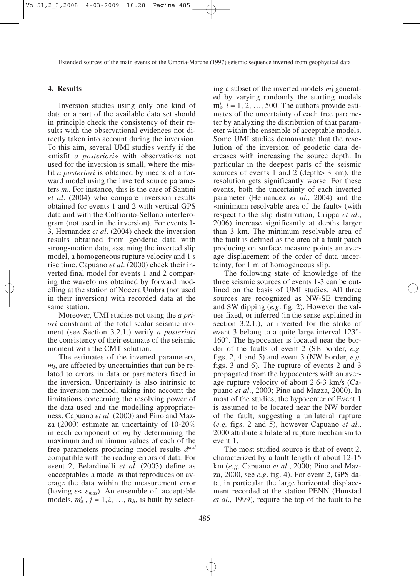## **4. Results**

Inversion studies using only one kind of data or a part of the available data set should in principle check the consistency of their results with the observational evidences not directly taken into account during the inversion. To this aim, several UMI studies verify if the «misfit *a posteriori*» with observations not used for the inversion is small, where the misfit *a posteriori* is obtained by means of a forward model using the inverted source parameters *mI*. For instance, this is the case of Santini *et al*. (2004) who compare inversion results obtained for events 1 and 2 with vertical GPS data and with the Colfiorito-Sellano interferogram (not used in the inversion). For events 1- 3, Hernandez *et al*. (2004) check the inversion results obtained from geodetic data with strong-motion data, assuming the inverted slip model, a homogeneous rupture velocity and 1 s rise time. Capuano *et al*. (2000) check their inverted final model for events 1 and 2 comparing the waveforms obtained by forward modelling at the station of Nocera Umbra (not used in their inversion) with recorded data at the same station.

Moreover, UMI studies not using the *a priori* constraint of the total scalar seismic moment (see Section 3.2.1.) verify *a posteriori* the consistency of their estimate of the seismic moment with the CMT solution.

The estimates of the inverted parameters, *m<sub>I</sub>*, are affected by uncertainties that can be related to errors in data or parameters fixed in the inversion. Uncertainty is also intrinsic to the inversion method, taking into account the limitations concerning the resolving power of the data used and the modelling appropriateness. Capuano *et al*. (2000) and Pino and Mazza (2000) estimate an uncertainty of 10-20% in each component of  $m<sub>I</sub>$  by determining the maximum and minimum values of each of the free parameters producing model results *dmod* compatible with the reading errors of data. For event 2, Belardinelli *et al*. (2003) define as «acceptable» a model *m* that reproduces on average the data within the measurement error (having  $\varepsilon < \varepsilon_{max}$ ). An ensemble of acceptable models,  $m_a^j$ ,  $j = 1, 2, ..., n_A$ , is built by select-

ing a subset of the inverted models  $m_I^i$  generated by varying randomly the starting models  $\mathbf{m}_s^i$ ,  $i = 1, 2, ..., 500$ . The authors provide estimates of the uncertainty of each free parameter by analyzing the distribution of that parameter within the ensemble of acceptable models. Some UMI studies demonstrate that the resolution of the inversion of geodetic data decreases with increasing the source depth. In particular in the deepest parts of the seismic sources of events 1 and 2 (depth $> 3$  km), the resolution gets significantly worse. For these events, both the uncertainty of each inverted parameter (Hernandez *et al.*, 2004) and the «minimum resolvable area of the fault» (with respect to the slip distribution, Crippa *et al*., 2006) increase significantly at depths larger than 3 km. The minimum resolvable area of the fault is defined as the area of a fault patch producing on surface measure points an average displacement of the order of data uncertainty, for 1 m of homogeneous slip.

The following state of knowledge of the three seismic sources of events 1-3 can be outlined on the basis of UMI studies. All three sources are recognized as NW-SE trending and SW dipping (*e.g*. fig. 2). However the values fixed, or inferred (in the sense explained in section 3.2.1.), or inverted for the strike of event 3 belong to a quite large interval 123°- 160°. The hypocenter is located near the border of the faults of event 2 (SE border, *e.g.* figs. 2, 4 and 5) and event 3 (NW border, *e.g*. figs. 3 and 6). The rupture of events 2 and 3 propagated from the hypocenters with an average rupture velocity of about 2.6-3 km/s (Capuano *et al*., 2000; Pino and Mazza, 2000). In most of the studies, the hypocenter of Event 1 is assumed to be located near the NW border of the fault, suggesting a unilateral rupture (*e.g.* figs. 2 and 5), however Capuano *et al*., 2000 attribute a bilateral rupture mechanism to event 1.

The most studied source is that of event 2, characterized by a fault length of about 12-15 km (*e.g*. Capuano *et al*., 2000; Pino and Mazza, 2000, see *e.g*. fig. 4). For event 2, GPS data, in particular the large horizontal displacement recorded at the station PENN (Hunstad *et al*., 1999), require the top of the fault to be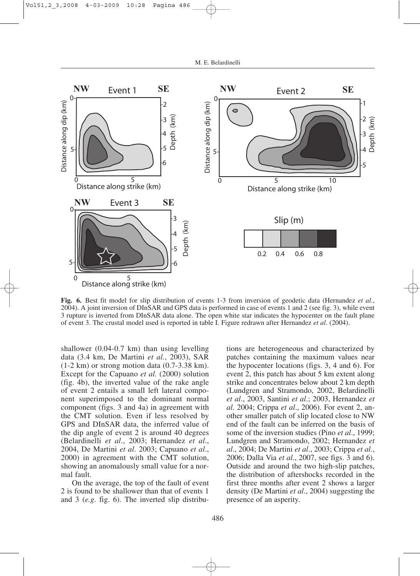

**Fig. 6.** Best fit model for slip distribution of events 1-3 from inversion of geodetic data (Hernandez *et al.*, 2004). A joint inversion of DInSAR and GPS data is performed in case of events 1 and 2 (see fig. 3), while event 3 rupture is inverted from DInSAR data alone. The open white star indicates the hypocenter on the fault plane of event 3. The crustal model used is reported in table I. Figure redrawn after Hernandez *et al*. (2004).

shallower (0.04-0.7 km) than using levelling data (3.4 km, De Martini *et al.*, 2003), SAR  $(1-2 \text{ km})$  or strong motion data  $(0.7-3.38 \text{ km})$ . Except for the Capuano *et al.* (2000) solution (fig. 4b), the inverted value of the rake angle of event 2 entails a small left lateral component superimposed to the dominant normal component (figs. 3 and 4a) in agreement with the CMT solution. Even if less resolved by GPS and DInSAR data, the inferred value of the dip angle of event 2 is around 40 degrees (Belardinelli *et al*., 2003; Hernandez *et al*., 2004, De Martini *et al*. 2003; Capuano *et al*., 2000) in agreement with the CMT solution, showing an anomalously small value for a normal fault.

On the average, the top of the fault of event 2 is found to be shallower than that of events 1 and 3 (*e.g*. fig. 6). The inverted slip distribu-

tions are heterogeneous and characterized by patches containing the maximum values near the hypocenter locations (figs. 3, 4 and 6). For event 2, this patch has about 5 km extent along strike and concentrates below about 2 km depth (Lundgren and Stramondo, 2002, Belardinelli *et al*., 2003, Santini *et al*.; 2003, Hernandez *et al*. 2004; Crippa *et al*., 2006). For event 2, another smaller patch of slip located close to NW end of the fault can be inferred on the basis of some of the inversion studies (Pino *et al*., 1999; Lundgren and Stramondo, 2002; Hernandez *et al*., 2004; De Martini *et al*., 2003; Crippa *et al.*, 2006; Dalla Via *et al*., 2007, see figs. 3 and 6). Outside and around the two high-slip patches, the distribution of aftershocks recorded in the first three months after event 2 shows a larger density (De Martini *et al*., 2004) suggesting the presence of an asperity.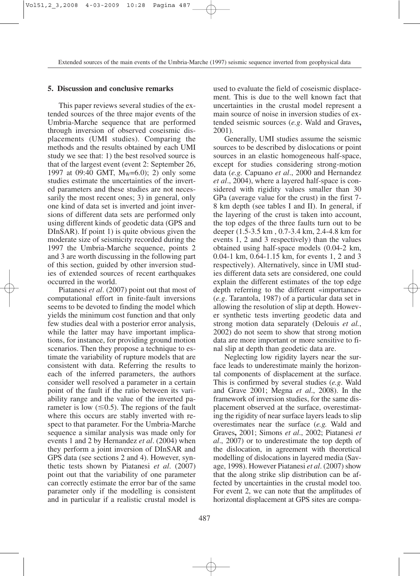# **5. Discussion and conclusive remarks**

This paper reviews several studies of the extended sources of the three major events of the Umbria-Marche sequence that are performed through inversion of observed coseismic displacements (UMI studies). Comparing the methods and the results obtained by each UMI study we see that: 1) the best resolved source is that of the largest event (event 2: September 26, 1997 at 09:40 GMT, Mw=6.0); 2) only some studies estimate the uncertainties of the inverted parameters and these studies are not necessarily the most recent ones; 3) in general, only one kind of data set is inverted and joint inversions of different data sets are performed only using different kinds of geodetic data (GPS and DInSAR). If point 1) is quite obvious given the moderate size of seismicity recorded during the 1997 the Umbria-Marche sequence, points 2 and 3 are worth discussing in the following part of this section, guided by other inversion studies of extended sources of recent earthquakes occurred in the world.

Piatanesi *et al*. (2007) point out that most of computational effort in finite-fault inversions seems to be devoted to finding the model which yields the minimum cost function and that only few studies deal with a posterior error analysis, while the latter may have important implications, for instance, for providing ground motion scenarios. Then they propose a technique to estimate the variability of rupture models that are consistent with data. Referring the results to each of the inferred parameters, the authors consider well resolved a parameter in a certain point of the fault if the ratio between its variability range and the value of the inverted parameter is low  $(\leq 0.5)$ . The regions of the fault where this occurs are stably inverted with respect to that parameter. For the Umbria-Marche sequence a similar analysis was made only for events 1 and 2 by Hernandez *et al*. (2004) when they perform a joint inversion of DInSAR and GPS data (see sections 2 and 4). However, synthetic tests shown by Piatanesi *et al*. (2007) point out that the variability of one parameter can correctly estimate the error bar of the same parameter only if the modelling is consistent and in particular if a realistic crustal model is

used to evaluate the field of coseismic displacement. This is due to the well known fact that uncertainties in the crustal model represent a main source of noise in inversion studies of extended seismic sources (*e.g*. Wald and Graves**,** 2001).

Generally, UMI studies assume the seismic sources to be described by dislocations or point sources in an elastic homogeneous half-space, except for studies considering strong-motion data (*e.g.* Capuano *et al*., 2000 and Hernandez *et al*., 2004), where a layered half-space is considered with rigidity values smaller than 30 GPa (average value for the crust) in the first 7- 8 km depth (see tables I and II). In general, if the layering of the crust is taken into account, the top edges of the three faults turn out to be deeper (1.5-3.5 km , 0.7-3.4 km, 2.4-4.8 km for events 1, 2 and 3 respectively) than the values obtained using half-space models (0.04-2 km, 0.04-1 km, 0.64-1.15 km, for events 1, 2 and 3 respectively). Alternatively, since in UMI studies different data sets are considered, one could explain the different estimates of the top edge depth referring to the different «importance» (*e.g*. Tarantola, 1987) of a particular data set in allowing the resolution of slip at depth. However synthetic tests inverting geodetic data and strong motion data separately (Delouis *et al.*, 2002) do not seem to show that strong motion data are more important or more sensitive to final slip at depth than geodetic data are.

Neglecting low rigidity layers near the surface leads to underestimate mainly the horizontal components of displacement at the surface. This is confirmed by several studies (*e.g*. Wald and Grave 2001; Megna *et al*., 2008). In the framework of inversion studies, for the same displacement observed at the surface, overestimating the rigidity of near surface layers leads to slip overestimates near the surface (*e.g.* Wald and Graves**,** 2001; Simons *et al*., 2002; Piatanesi *et al*., 2007) or to underestimate the top depth of the dislocation, in agreement with theoretical modelling of dislocations in layered media (Savage, 1998). However Piatanesi *et al*. (2007) show that the along strike slip distribution can be affected by uncertainties in the crustal model too. For event 2, we can note that the amplitudes of horizontal displacement at GPS sites are compa-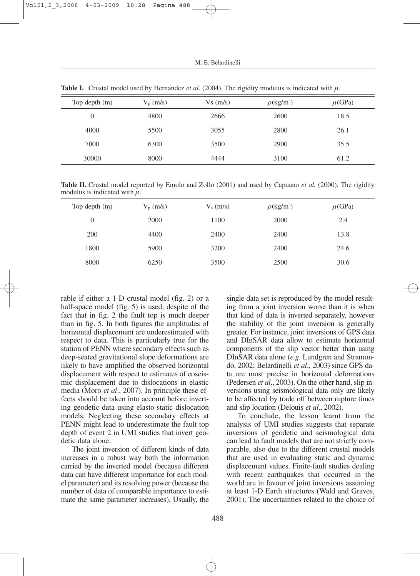| Top depth $(m)$ | $V_p$ (m/s) | Vs(m/s) | $\rho$ (kg/m <sup>3</sup> ) | $\mu$ (GPa) |
|-----------------|-------------|---------|-----------------------------|-------------|
| 0               | 4800        | 2666    | 2600                        | 18.5        |
| 4000            | 5500        | 3055    | 2800                        | 26.1        |
| 7000            | 6300        | 3500    | 2900                        | 35.5        |
| 30000           | 8000        | 4444    | 3100                        | 61.2        |

**Table I.** Crustal model used by Hernandez *et al.* (2004). The rigidity modulus is indicated with  $\mu$ .

**Table II.** Crustal model reported by Emolo and Zollo (2001) and used by Capuano *et al.* (2000). The rigidity modulus is indicated with  $\mu$ .

| Top depth $(m)$ | $V_p$ (m/s) | $V_s$ (m/s) | $\rho$ (kg/m <sup>3</sup> ) | $\mu$ (GPa) |
|-----------------|-------------|-------------|-----------------------------|-------------|
| $\theta$        | 2000        | 1100        | 2000                        | 2.4         |
| 200             | 4400        | 2400        | 2400                        | 13.8        |
| 1800            | 5900        | 3200        | 2400                        | 24.6        |
| 8000            | 6250        | 3500        | 2500                        | 30.6        |

rable if either a 1-D crustal model (fig. 2) or a half-space model (fig. 5) is used, despite of the fact that in fig. 2 the fault top is much deeper than in fig. 5. In both figures the amplitudes of horizontal displacement are underestimated with respect to data. This is particularly true for the station of PENN where secondary effects such as deep-seated gravitational slope deformations are likely to have amplified the observed horizontal displacement with respect to estimates of coseismic displacement due to dislocations in elastic media (Moro *et al*., 2007). In principle these effects should be taken into account before inverting geodetic data using elasto-static dislocation models. Neglecting these secondary effects at PENN might lead to underestimate the fault top depth of event 2 in UMI studies that invert geodetic data alone.

The joint inversion of different kinds of data increases in a robust way both the information carried by the inverted model (because different data can have different importance for each model parameter) and its resolving power (because the number of data of comparable importance to estimate the same parameter increases). Usually, the

single data set is reproduced by the model resulting from a joint inversion worse than it is when that kind of data is inverted separately, however the stability of the joint inversion is generally greater. For instance, joint inversions of GPS data and DInSAR data allow to estimate horizontal components of the slip vector better than using DInSAR data alone (*e.g*. Lundgren and Stramondo, 2002; Belardinelli *et al*., 2003) since GPS data are most precise in horizontal deformations (Pedersen *et al*., 2003). On the other hand, slip inversions using seismological data only are likely to be affected by trade off between rupture times and slip location (Delouis *et al*., 2002).

To conclude, the lesson learnt from the analysis of UMI studies suggests that separate inversions of geodetic and seismological data can lead to fault models that are not strictly comparable, also due to the different crustal models that are used in evaluating static and dynamic displacement values. Finite-fault studies dealing with recent earthquakes that occurred in the world are in favour of joint inversions assuming at least 1-D Earth structures (Wald and Graves, 2001). The uncertainties related to the choice of